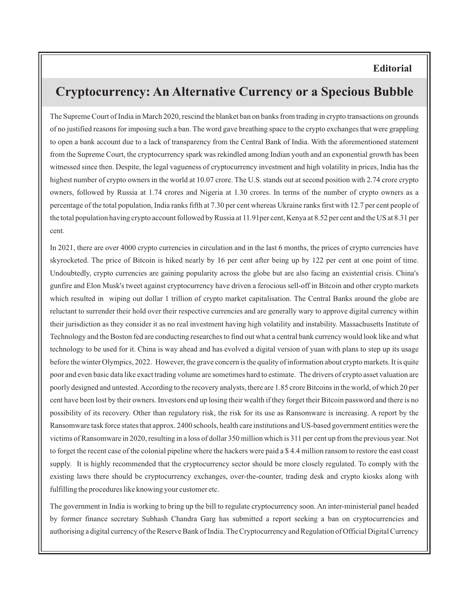## **Editorial**

## **Cryptocurrency: An Alternative Currency or a Specious Bubble**

The Supreme Court of India in March 2020, rescind the blanket ban on banks from trading in crypto transactions on grounds of no justified reasons for imposing such a ban. The word gave breathing space to the crypto exchanges that were grappling to open a bank account due to a lack of transparency from the Central Bank of India. With the aforementioned statement from the Supreme Court, the cryptocurrency spark was rekindled among Indian youth and an exponential growth has been witnessed since then. Despite, the legal vagueness of cryptocurrency investment and high volatility in prices, India has the highest number of crypto owners in the world at 10.07 crore. The U.S. stands out at second position with 2.74 crore crypto owners, followed by Russia at 1.74 crores and Nigeria at 1.30 crores. In terms of the number of crypto owners as a percentage of the total population, India ranks fifth at 7.30 per cent whereas Ukraine ranks first with 12.7 per cent people of the total population having crypto account followed by Russia at 11.91per cent, Kenya at 8.52 per cent and the US at 8.31 per cent.

In 2021, there are over 4000 crypto currencies in circulation and in the last 6 months, the prices of crypto currencies have skyrocketed. The price of Bitcoin is hiked nearly by 16 per cent after being up by 122 per cent at one point of time. Undoubtedly, crypto currencies are gaining popularity across the globe but are also facing an existential crisis. China's gunfire and Elon Musk's tweet against cryptocurrency have driven a ferocious sell-off in Bitcoin and other crypto markets which resulted in wiping out dollar 1 trillion of crypto market capitalisation. The Central Banks around the globe are reluctant to surrender their hold over their respective currencies and are generally wary to approve digital currency within their jurisdiction as they consider it as no real investment having high volatility and instability. Massachusetts Institute of Technology and the Boston fed are conducting researches to find out what a central bank currency would look like and what technology to be used for it. China is way ahead and has evolved a digital version of yuan with plans to step up its usage before the winter Olympics, 2022. However, the grave concern is the quality of information about crypto markets. It is quite poor and even basic data like exact trading volume are sometimes hard to estimate. The drivers of crypto asset valuation are poorly designed and untested. According to the recovery analysts, there are 1.85 crore Bitcoins in the world, of which 20 per cent have been lost by their owners. Investors end up losing their wealth if they forget their Bitcoin password and there is no possibility of its recovery. Other than regulatory risk, the risk for its use as Ransomware is increasing. A report by the Ransomware task force states that approx. 2400 schools, health care institutions and US-based government entities were the victims of Ransomware in 2020, resulting in a loss of dollar 350 million which is 311 per cent up from the previous year. Not to forget the recent case of the colonial pipeline where the hackers were paid a \$ 4.4 million ransom to restore the east coast supply. It is highly recommended that the cryptocurrency sector should be more closely regulated. To comply with the existing laws there should be cryptocurrency exchanges, over-the-counter, trading desk and crypto kiosks along with fulfilling the procedures like knowing your customer etc.

The government in India is working to bring up the bill to regulate cryptocurrency soon. An inter-ministerial panel headed by former finance secretary Subhash Chandra Garg has submitted a report seeking a ban on cryptocurrencies and authorising a digital currency of the Reserve Bank of India. The Cryptocurrency and Regulation of Official Digital Currency